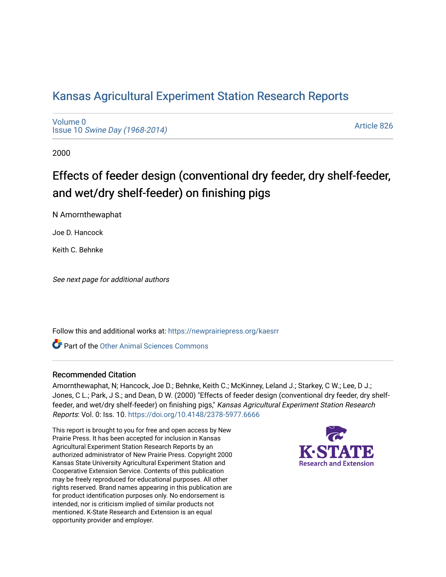## [Kansas Agricultural Experiment Station Research Reports](https://newprairiepress.org/kaesrr)

[Volume 0](https://newprairiepress.org/kaesrr/vol0) Issue 10 [Swine Day \(1968-2014\)](https://newprairiepress.org/kaesrr/vol0/iss10)

[Article 826](https://newprairiepress.org/kaesrr/vol0/iss10/826) 

2000

# Effects of feeder design (conventional dry feeder, dry shelf-feeder, and wet/dry shelf-feeder) on finishing pigs

N Amornthewaphat

Joe D. Hancock

Keith C. Behnke

See next page for additional authors

Follow this and additional works at: [https://newprairiepress.org/kaesrr](https://newprairiepress.org/kaesrr?utm_source=newprairiepress.org%2Fkaesrr%2Fvol0%2Fiss10%2F826&utm_medium=PDF&utm_campaign=PDFCoverPages) 

Part of the [Other Animal Sciences Commons](http://network.bepress.com/hgg/discipline/82?utm_source=newprairiepress.org%2Fkaesrr%2Fvol0%2Fiss10%2F826&utm_medium=PDF&utm_campaign=PDFCoverPages)

#### Recommended Citation

Amornthewaphat, N; Hancock, Joe D.; Behnke, Keith C.; McKinney, Leland J.; Starkey, C W.; Lee, D J.; Jones, C L.; Park, J S.; and Dean, D W. (2000) "Effects of feeder design (conventional dry feeder, dry shelffeeder, and wet/dry shelf-feeder) on finishing pigs," Kansas Agricultural Experiment Station Research Reports: Vol. 0: Iss. 10.<https://doi.org/10.4148/2378-5977.6666>

This report is brought to you for free and open access by New Prairie Press. It has been accepted for inclusion in Kansas Agricultural Experiment Station Research Reports by an authorized administrator of New Prairie Press. Copyright 2000 Kansas State University Agricultural Experiment Station and Cooperative Extension Service. Contents of this publication may be freely reproduced for educational purposes. All other rights reserved. Brand names appearing in this publication are for product identification purposes only. No endorsement is intended, nor is criticism implied of similar products not mentioned. K-State Research and Extension is an equal opportunity provider and employer.

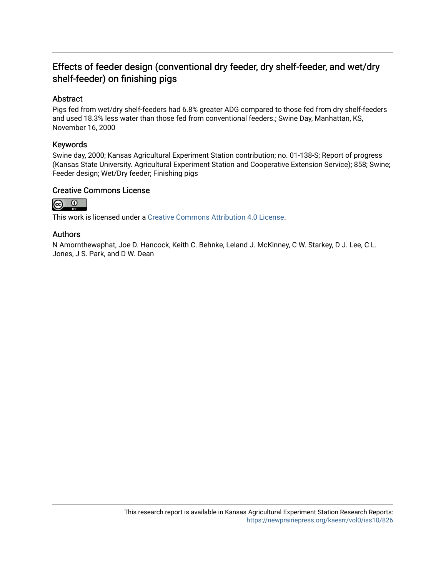### Effects of feeder design (conventional dry feeder, dry shelf-feeder, and wet/dry shelf-feeder) on finishing pigs

#### Abstract

Pigs fed from wet/dry shelf-feeders had 6.8% greater ADG compared to those fed from dry shelf-feeders and used 18.3% less water than those fed from conventional feeders.; Swine Day, Manhattan, KS, November 16, 2000

#### Keywords

Swine day, 2000; Kansas Agricultural Experiment Station contribution; no. 01-138-S; Report of progress (Kansas State University. Agricultural Experiment Station and Cooperative Extension Service); 858; Swine; Feeder design; Wet/Dry feeder; Finishing pigs

#### Creative Commons License



This work is licensed under a [Creative Commons Attribution 4.0 License](https://creativecommons.org/licenses/by/4.0/).

#### Authors

N Amornthewaphat, Joe D. Hancock, Keith C. Behnke, Leland J. McKinney, C W. Starkey, D J. Lee, C L. Jones, J S. Park, and D W. Dean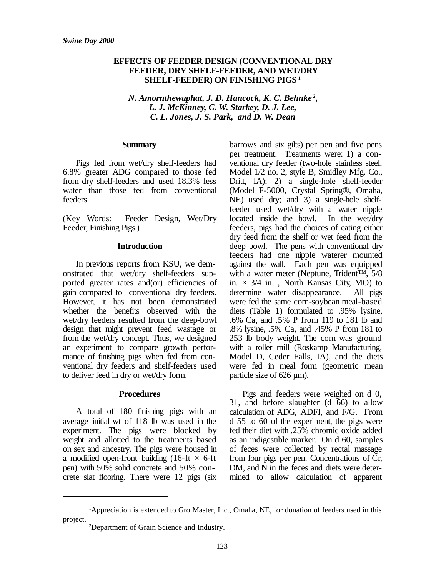#### **EFFECTS OF FEEDER DESIGN (CONVENTIONAL DRY FEEDER, DRY SHELF-FEEDER, AND WET/DRY SHELF-FEEDER) ON FINISHING PIGS <sup>1</sup>**

*N. Amornthewaphat, J. D. Hancock, K. C. Behnke <sup>2</sup> , L. J. McKinney, C. W. Starkey, D. J. Lee, C. L. Jones, J. S. Park, and D. W. Dean*

#### **Summary**

Pigs fed from wet/dry shelf-feeders had 6.8% greater ADG compared to those fed from dry shelf-feeders and used 18.3% less water than those fed from conventional feeders.

(Key Words: Feeder Design, Wet/Dry Feeder, Finishing Pigs.)

#### **Introduction**

In previous reports from KSU, we demonstrated that wet/dry shelf-feeders supported greater rates and(or) efficiencies of gain compared to conventional dry feeders. However, it has not been demonstrated whether the benefits observed with the wet/dry feeders resulted from the deep-bowl design that might prevent feed wastage or from the wet/dry concept. Thus, we designed an experiment to compare growth performance of finishing pigs when fed from conventional dry feeders and shelf-feeders used to deliver feed in dry or wet/dry form.

#### **Procedures**

A total of 180 finishing pigs with an average initial wt of 118 lb was used in the experiment. The pigs were blocked by weight and allotted to the treatments based on sex and ancestry. The pigs were housed in a modified open-front building (16-ft  $\times$  6-ft pen) with 50% solid concrete and 50% concrete slat flooring. There were 12 pigs (six

barrows and six gilts) per pen and five pens per treatment. Treatments were: 1) a conventional dry feeder (two-hole stainless steel, Model 1/2 no. 2, style B, Smidley Mfg. Co., Dritt, IA); 2) a single-hole shelf-feeder (Model F-5000, Crystal Spring®, Omaha, NE) used dry; and 3) a single-hole shelffeeder used wet/dry with a water nipple located inside the bowl. In the wet/dry feeders, pigs had the choices of eating either dry feed from the shelf or wet feed from the deep bowl. The pens with conventional dry feeders had one nipple waterer mounted against the wall. Each pen was equipped with a water meter (Neptune, Trident<sup>™, 5/8</sup> in.  $\times$  3/4 in., North Kansas City, MO) to determine water disappearance. All pigs were fed the same corn-soybean meal-based diets (Table 1) formulated to .95% lysine, .6% Ca, and .5% P from 119 to 181 lb and .8% lysine, .5% Ca, and .45% P from 181 to 253 lb body weight. The corn was ground with a roller mill (Roskamp Manufacturing, Model D, Ceder Falls, IA), and the diets were fed in meal form (geometric mean particle size of 626 µm).

Pigs and feeders were weighed on d 0, 31, and before slaughter (d 66) to allow calculation of ADG, ADFI, and F/G. From d 55 to 60 of the experiment, the pigs were fed their diet with .25% chromic oxide added as an indigestible marker. On d 60, samples of feces were collected by rectal massage from four pigs per pen. Concentrations of Cr, DM, and N in the feces and diets were determined to allow calculation of apparent

<sup>1</sup>Appreciation is extended to Gro Master, Inc., Omaha, NE, for donation of feeders used in this project.

<sup>2</sup>Department of Grain Science and Industry.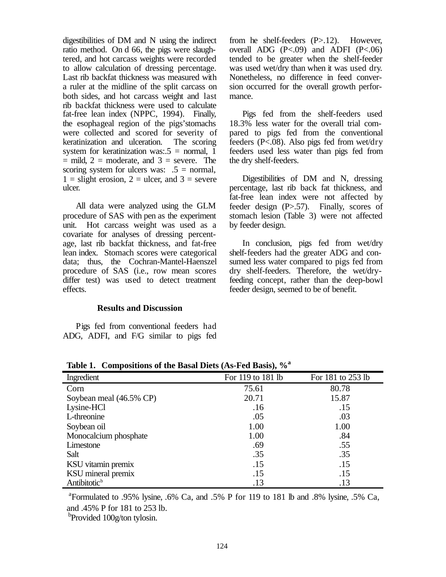digestibilities of DM and N using the indirect ratio method. On d 66, the pigs were slaughtered, and hot carcass weights were recorded to allow calculation of dressing percentage. Last rib backfat thickness was measured with a ruler at the midline of the split carcass on both sides, and hot carcass weight and last rib backfat thickness were used to calculate fat-free lean index (NPPC, 1994). Finally, the esophageal region of the pigs'stomachs were collected and scored for severity of keratinization and ulceration. The scoring system for keratinization was:  $5 =$  normal, 1  $=$  mild, 2 = moderate, and 3 = severe. The scoring system for ulcers was:  $.5 =$  normal,  $1 =$  slight erosion,  $2 =$  ulcer, and  $3 =$  severe ulcer.

All data were analyzed using the GLM procedure of SAS with pen as the experiment unit. Hot carcass weight was used as a covariate for analyses of dressing percentage, last rib backfat thickness, and fat-free lean index. Stomach scores were categorical data; thus, the Cochran-Mantel-Haenszel procedure of SAS (i.e., row mean scores differ test) was used to detect treatment effects.

#### **Results and Discussion**

Pigs fed from conventional feeders had ADG, ADFI, and F/G similar to pigs fed from he shelf-feeders (P>.12). However, overall ADG  $(P<.09)$  and ADFI  $(P<.06)$ tended to be greater when the shelf-feeder was used wet/dry than when it was used dry. Nonetheless, no difference in feed conversion occurred for the overall growth performance.

Pigs fed from the shelf-feeders used 18.3% less water for the overall trial compared to pigs fed from the conventional feeders (P<.08). Also pigs fed from wet/dry feeders used less water than pigs fed from the dry shelf-feeders.

Digestibilities of DM and N, dressing percentage, last rib back fat thickness, and fat-free lean index were not affected by feeder design (P>.57). Finally, scores of stomach lesion (Table 3) were not affected by feeder design.

In conclusion, pigs fed from wet/dry shelf-feeders had the greater ADG and consumed less water compared to pigs fed from dry shelf-feeders. Therefore, the wet/dryfeeding concept, rather than the deep-bowl feeder design, seemed to be of benefit.

| TUNIV TI<br>Compositions of the Basal Diets (Tis I ca Basis), 70 |                   |                   |  |  |  |  |  |
|------------------------------------------------------------------|-------------------|-------------------|--|--|--|--|--|
| Ingredient                                                       | For 119 to 181 lb | For 181 to 253 lb |  |  |  |  |  |
| Corn                                                             | 75.61             | 80.78             |  |  |  |  |  |
| Soybean meal (46.5% CP)                                          | 20.71             | 15.87             |  |  |  |  |  |
| Lysine-HCl                                                       | .16               | .15               |  |  |  |  |  |
| L-threonine                                                      | .05               | .03               |  |  |  |  |  |
| Soybean oil                                                      | 1.00              | 1.00              |  |  |  |  |  |
| Monocalcium phosphate                                            | 1.00              | .84               |  |  |  |  |  |
| Limestone                                                        | .69               | .55               |  |  |  |  |  |
| Salt                                                             | .35               | .35               |  |  |  |  |  |
| KSU vitamin premix                                               | .15               | .15               |  |  |  |  |  |
| KSU mineral premix                                               | .15               | .15               |  |  |  |  |  |
| Antibitotic <sup>b</sup>                                         | .13               | .13               |  |  |  |  |  |

**Table 1. Compositions of the Basal Diets (As-Fed Basis), %<sup>a</sup>**

<sup>a</sup> Formulated to .95% lysine, .6% Ca, and .5% P for 119 to 181 lb and .8% lysine, .5% Ca, and .45% P for 181 to 253 lb.

<sup>b</sup>Provided 100g/ton tylosin.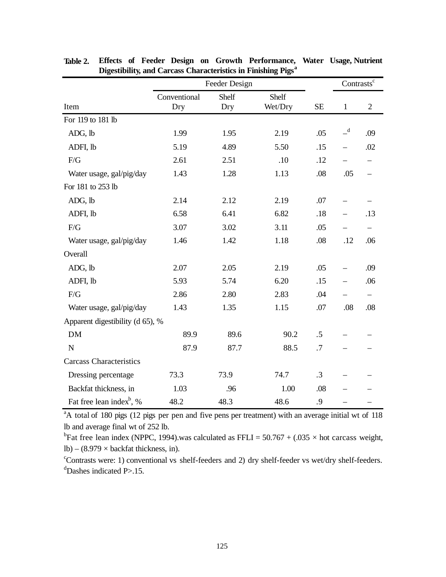|                                      | Feeder Design       |              |                  |          | Contrasts <sup>c</sup>   |                |
|--------------------------------------|---------------------|--------------|------------------|----------|--------------------------|----------------|
| Item                                 | Conventional<br>Dry | Shelf<br>Dry | Shelf<br>Wet/Dry | $\rm SE$ | $\mathbf{1}$             | $\overline{2}$ |
| For 119 to 181 lb                    |                     |              |                  |          |                          |                |
| ADG, lb                              | 1.99                | 1.95         | 2.19             | .05      | $-$ <sup>d</sup>         | .09            |
| ADFI, lb                             | 5.19                | 4.89         | 5.50             | .15      | $\overline{\phantom{0}}$ | .02            |
| F/G                                  | 2.61                | 2.51         | .10              | .12      |                          |                |
| Water usage, gal/pig/day             | 1.43                | 1.28         | 1.13             | .08      | .05                      |                |
| For 181 to 253 lb                    |                     |              |                  |          |                          |                |
| ADG, lb                              | 2.14                | 2.12         | 2.19             | .07      |                          |                |
| ADFI, lb                             | 6.58                | 6.41         | 6.82             | .18      |                          | .13            |
| F/G                                  | 3.07                | 3.02         | 3.11             | .05      |                          |                |
| Water usage, gal/pig/day             | 1.46                | 1.42         | 1.18             | .08      | .12                      | .06            |
| Overall                              |                     |              |                  |          |                          |                |
| ADG, lb                              | 2.07                | 2.05         | 2.19             | .05      |                          | .09            |
| ADFI, lb                             | 5.93                | 5.74         | 6.20             | .15      | $\overline{\phantom{0}}$ | .06            |
| $F/G$                                | 2.86                | 2.80         | 2.83             | .04      |                          |                |
| Water usage, gal/pig/day             | 1.43                | 1.35         | 1.15             | .07      | .08                      | .08            |
| Apparent digestibility (d 65), %     |                     |              |                  |          |                          |                |
| <b>DM</b>                            | 89.9                | 89.6         | 90.2             | .5       |                          |                |
| $\mathbf N$                          | 87.9                | 87.7         | 88.5             | .7       |                          |                |
| <b>Carcass Characteristics</b>       |                     |              |                  |          |                          |                |
| Dressing percentage                  | 73.3                | 73.9         | 74.7             | .3       |                          |                |
| Backfat thickness, in                | 1.03                | .96          | 1.00             | .08      |                          |                |
| Fat free lean index <sup>b</sup> , % | 48.2                | 48.3         | 48.6             | .9       |                          |                |

**Table 2. Effects of Feeder Design on Growth Performance, Water Usage, Nutrient Digestibility, and Carcass Characteristics in Finishing Pigs<sup>a</sup>**

<sup>a</sup>A total of 180 pigs (12 pigs per pen and five pens per treatment) with an average initial wt of 118 lb and average final wt of 252 lb.

<sup>b</sup>Fat free lean index (NPPC, 1994).was calculated as FFLI =  $50.767 + (.035 \times$  hot carcass weight, lb) –  $(8.979 \times$  backfat thickness, in).

<sup>c</sup>Contrasts were: 1) conventional vs shelf-feeders and 2) dry shelf-feeder vs wet/dry shelf-feeders.  $d$ Dashes indicated P $>15$ .